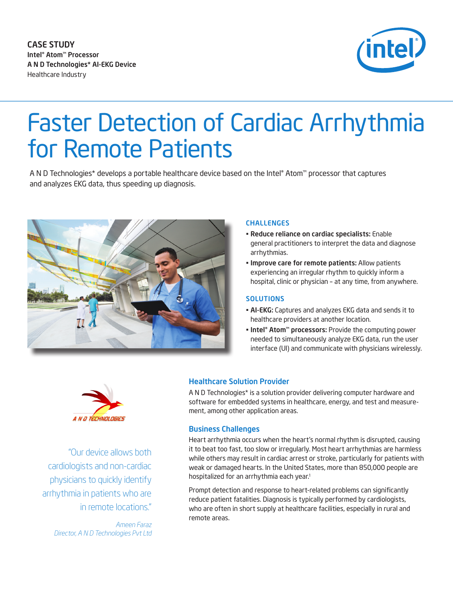

# Faster Detection of Cardiac Arrhythmia for Remote Patients

A N D Technologies\* develops a portable healthcare device based on the Intel® Atom™ processor that captures and analyzes EKG data, thus speeding up diagnosis.



### CHALLENGES

- • Reduce reliance on cardiac specialists: Enable general practitioners to interpret the data and diagnose arrhythmias.
- **· Improve care for remote patients: Allow patients** experiencing an irregular rhythm to quickly inform a hospital, clinic or physician – at any time, from anywhere.

#### **SOLUTIONS**

- AI-EKG: Captures and analyzes EKG data and sends it to healthcare providers at another location.
- Intel® Atom™ processors: Provide the computing power needed to simultaneously analyze EKG data, run the user interface (UI) and communicate with physicians wirelessly.



 "Our device allows both cardiologists and non-cardiac physicians to quickly identify arrhythmia in patients who are in remote locations."

*Ameen Faraz Director, A N D Technologies Pvt Ltd*

## Healthcare Solution Provider

A N D Technologies\* is a solution provider delivering computer hardware and software for embedded systems in healthcare, energy, and test and measurement, among other application areas.

#### Business Challenges

Heart arrhythmia occurs when the heart's normal rhythm is disrupted, causing it to beat too fast, too slow or irregularly. Most heart arrhythmias are harmless while others may result in cardiac arrest or stroke, particularly for patients with weak or damaged hearts. In the United States, more than 850,000 people are hospitalized for an arrhythmia each year.<sup>1</sup>

Prompt detection and response to heart-related problems can significantly reduce patient fatalities. Diagnosis is typically performed by cardiologists, who are often in short supply at healthcare facilities, especially in rural and remote areas.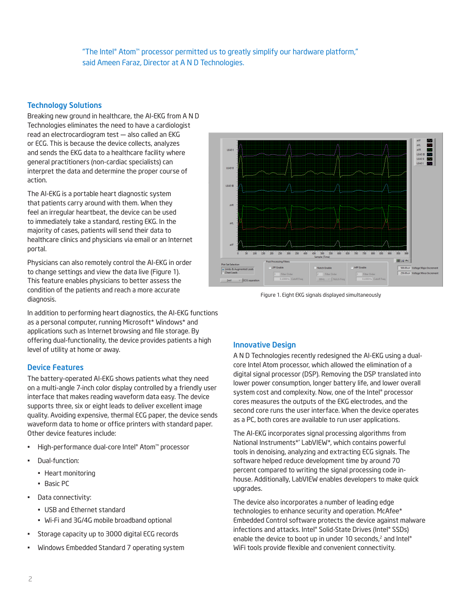"The Intel® Atom™ processor permitted us to greatly simplify our hardware platform," said Ameen Faraz, Director at A N D Technologies.

## Technology Solutions

Breaking new ground in healthcare, the AI-EKG from A N D Technologies eliminates the need to have a cardiologist read an electrocardiogram test — also called an EKG or ECG. This is because the device collects, analyzes and sends the EKG data to a healthcare facility where general practitioners (non-cardiac specialists) can interpret the data and determine the proper course of action.

The AI-EKG is a portable heart diagnostic system that patients carry around with them. When they feel an irregular heartbeat, the device can be used to immediately take a standard, resting EKG. In the majority of cases, patients will send their data to healthcare clinics and physicians via email or an Internet portal.

Physicians can also remotely control the AI-EKG in order to change settings and view the data live (Figure 1). This feature enables physicians to better assess the condition of the patients and reach a more accurate diagnosis.

In addition to performing heart diagnostics, the AI-EKG functions as a personal computer, running Microsoft\* Windows\* and applications such as Internet browsing and file storage. By offering dual-functionality, the device provides patients a high level of utility at home or away.

## Device Features

The battery-operated AI-EKG shows patients what they need on a multi-angle 7-inch color display controlled by a friendly user interface that makes reading waveform data easy. The device supports three, six or eight leads to deliver excellent image quality. Avoiding expensive, thermal ECG paper, the device sends waveform data to home or office printers with standard paper. Other device features include:

- High-performance dual-core Intel® Atom™ processor
- Dual-function:
	- Heart monitoring
	- Basic PC
- Data connectivity:
	- USB and Ethernet standard
	- Wi-Fi and 3G/4G mobile broadband optional
- Storage capacity up to 3000 digital ECG records
- Windows Embedded Standard 7 operating system



Figure 1. Eight EKG signals displayed simultaneously

## Innovative Design

A N D Technologies recently redesigned the AI-EKG using a dualcore Intel Atom processor, which allowed the elimination of a digital signal processor (DSP). Removing the DSP translated into lower power consumption, longer battery life, and lower overall system cost and complexity. Now, one of the Intel® processor cores measures the outputs of the EKG electrodes, and the second core runs the user interface. When the device operates as a PC, both cores are available to run user applications.

The AI-EKG incorporates signal processing algorithms from National Instruments\*' LabVIEW\*, which contains powerful tools in denoising, analyzing and extracting ECG signals. The software helped reduce development time by around 70 percent compared to writing the signal processing code inhouse. Additionally, LabVIEW enables developers to make quick upgrades.

The device also incorporates a number of leading edge technologies to enhance security and operation. McAfee\* Embedded Control software protects the device against malware infections and attacks. Intel® Solid-State Drives (Intel® SSDs) enable the device to boot up in under 10 seconds,<sup>2</sup> and Intel® WiFi tools provide flexible and convenient connectivity.